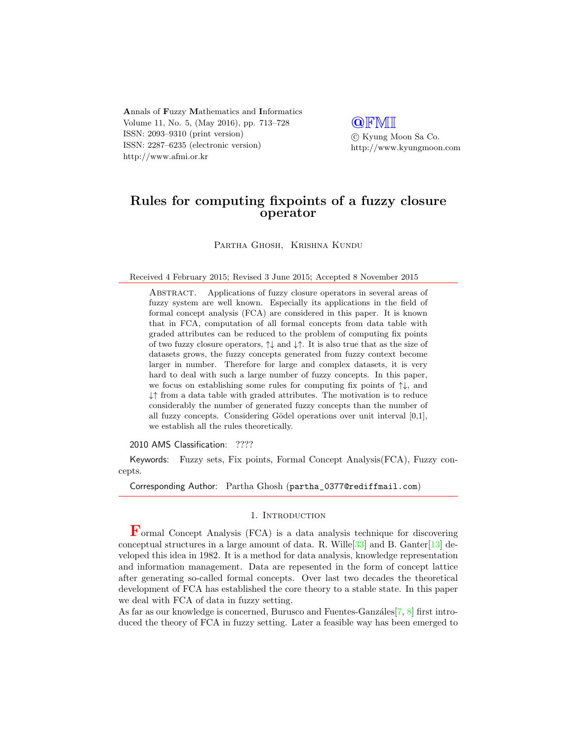Annals of Fuzzy Mathematics and Informatics Volume 11, No. 5, (May 2016), pp. 713–728 ISSN: 2093–9310 (print version) ISSN: 2287–6235 (electronic version) http://www.afmi.or.kr

**QFMI** c Kyung Moon Sa Co.

http://www.kyungmoon.com

# Rules for computing fixpoints of a fuzzy closure operator

Partha Ghosh, Krishna Kundu

Received 4 February 2015; Revised 3 June 2015; Accepted 8 November 2015

ABSTRACT. Applications of fuzzy closure operators in several areas of fuzzy system are well known. Especially its applications in the field of formal concept analysis (FCA) are considered in this paper. It is known that in FCA, computation of all formal concepts from data table with graded attributes can be reduced to the problem of computing fix points of two fuzzy closure operators,  $\uparrow\downarrow$  and  $\downarrow\uparrow$ . It is also true that as the size of datasets grows, the fuzzy concepts generated from fuzzy context become larger in number. Therefore for large and complex datasets, it is very hard to deal with such a large number of fuzzy concepts. In this paper, we focus on establishing some rules for computing fix points of  $\uparrow\downarrow$ , and ↓↑ from a data table with graded attributes. The motivation is to reduce considerably the number of generated fuzzy concepts than the number of all fuzzy concepts. Considering Gödel operations over unit interval [0,1], we establish all the rules theoretically.

2010 AMS Classification: ????

Keywords: Fuzzy sets, Fix points, Formal Concept Analysis(FCA), Fuzzy concepts.

Corresponding Author: Partha Ghosh (partha\_0377@rediffmail.com)

#### 1. INTRODUCTION

Formal Concept Analysis (FCA) is a data analysis technique for discovering conceptual structures in a large amount of data. R. Wille<sup>[\[33\]](#page-15-0)</sup> and B. Ganter<sup>[\[13\]](#page-14-0)</sup> developed this idea in 1982. It is a method for data analysis, knowledge representation and information management. Data are repesented in the form of concept lattice after generating so-called formal concepts. Over last two decades the theoretical development of FCA has established the core theory to a stable state. In this paper we deal with FCA of data in fuzzy setting.

As far as our knowledge is concerned, Burusco and Fuentes-Ganzáles $[7, 8]$  $[7, 8]$  $[7, 8]$  first introduced the theory of FCA in fuzzy setting. Later a feasible way has been emerged to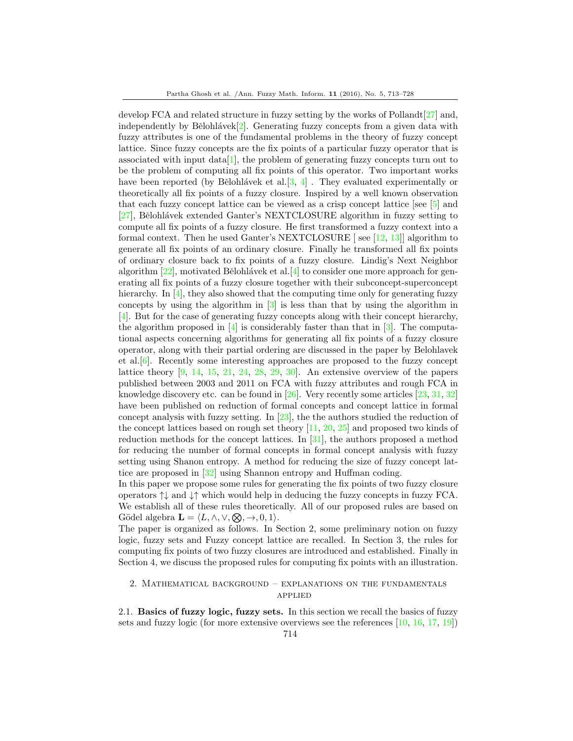develop FCA and related structure in fuzzy setting by the works of Pollandt[\[27\]](#page-15-1) and, independently by Bělohlávek $[2]$ . Generating fuzzy concepts from a given data with fuzzy attributes is one of the fundamental problems in the theory of fuzzy concept lattice. Since fuzzy concepts are the fix points of a particular fuzzy operator that is associated with input  $data[1]$  $data[1]$ , the problem of generating fuzzy concepts turn out to be the problem of computing all fix points of this operator. Two important works have been reported (by Bělohlávek et al.  $[3, 4]$  $[3, 4]$  $[3, 4]$ ). They evaluated experimentally or theoretically all fix points of a fuzzy closure. Inspired by a well known observation that each fuzzy concept lattice can be viewed as a crisp concept lattice [see [\[5\]](#page-14-7) and [\[27\]](#page-15-1), Bělohlávek extended Ganter's NEXTCLOSURE algorithm in fuzzy setting to compute all fix points of a fuzzy closure. He first transformed a fuzzy context into a formal context. Then he used Ganter's NEXTCLOSURE [ see [\[12,](#page-14-8) [13\]](#page-14-0)] algorithm to generate all fix points of an ordinary closure. Finally he transformed all fix points of ordinary closure back to fix points of a fuzzy closure. Lindig's Next Neighbor algorithm  $[22]$ , motivated Bělohlávek et al. $[4]$  to consider one more approach for generating all fix points of a fuzzy closure together with their subconcept-superconcept hierarchy. In [\[4\]](#page-14-6), they also showed that the computing time only for generating fuzzy concepts by using the algorithm in [\[3\]](#page-14-5) is less than that by using the algorithm in [\[4\]](#page-14-6). But for the case of generating fuzzy concepts along with their concept hierarchy, the algorithm proposed in  $[4]$  is considerably faster than that in  $[3]$ . The computational aspects concerning algorithms for generating all fix points of a fuzzy closure operator, along with their partial ordering are discussed in the paper by Belohlavek et al.[\[6\]](#page-14-9). Recently some interesting approaches are proposed to the fuzzy concept lattice theory  $[9, 14, 15, 21, 24, 28, 29, 30]$  $[9, 14, 15, 21, 24, 28, 29, 30]$  $[9, 14, 15, 21, 24, 28, 29, 30]$  $[9, 14, 15, 21, 24, 28, 29, 30]$  $[9, 14, 15, 21, 24, 28, 29, 30]$  $[9, 14, 15, 21, 24, 28, 29, 30]$  $[9, 14, 15, 21, 24, 28, 29, 30]$  $[9, 14, 15, 21, 24, 28, 29, 30]$  $[9, 14, 15, 21, 24, 28, 29, 30]$  $[9, 14, 15, 21, 24, 28, 29, 30]$  $[9, 14, 15, 21, 24, 28, 29, 30]$  $[9, 14, 15, 21, 24, 28, 29, 30]$  $[9, 14, 15, 21, 24, 28, 29, 30]$  $[9, 14, 15, 21, 24, 28, 29, 30]$  $[9, 14, 15, 21, 24, 28, 29, 30]$ . An extensive overview of the papers published between 2003 and 2011 on FCA with fuzzy attributes and rough FCA in knowledge discovery etc. can be found in  $[26]$ . Very recently some articles  $[23, 31, 32]$  $[23, 31, 32]$  $[23, 31, 32]$  $[23, 31, 32]$  $[23, 31, 32]$ have been published on reduction of formal concepts and concept lattice in formal concept analysis with fuzzy setting. In [\[23\]](#page-15-11), the the authors studied the reduction of the concept lattices based on rough set theory [\[11,](#page-14-11) [20,](#page-15-14) [25\]](#page-15-15) and proposed two kinds of reduction methods for the concept lattices. In [\[31\]](#page-15-12), the authors proposed a method for reducing the number of formal concepts in formal concept analysis with fuzzy setting using Shanon entropy. A method for reducing the size of fuzzy concept lattice are proposed in [\[32\]](#page-15-13) using Shannon entropy and Huffman coding.

In this paper we propose some rules for generating the fix points of two fuzzy closure operators  $\uparrow\downarrow$  and  $\downarrow\uparrow$  which would help in deducing the fuzzy concepts in fuzzy FCA. We establish all of these rules theoretically. All of our proposed rules are based on Gödel algebra  $\mathbf{L} = \langle L, \wedge, \vee, \otimes, \to, 0, 1 \rangle$ .

The paper is organized as follows. In Section 2, some preliminary notion on fuzzy logic, fuzzy sets and Fuzzy concept lattice are recalled. In Section 3, the rules for computing fix points of two fuzzy closures are introduced and established. Finally in Section 4, we discuss the proposed rules for computing fix points with an illustration.

### 2. Mathematical background – explanations on the fundamentals applied

2.1. Basics of fuzzy logic, fuzzy sets. In this section we recall the basics of fuzzy sets and fuzzy logic (for more extensive overviews see the references [\[10,](#page-14-12) [16,](#page-15-16) [17,](#page-15-17) [19\]](#page-15-18))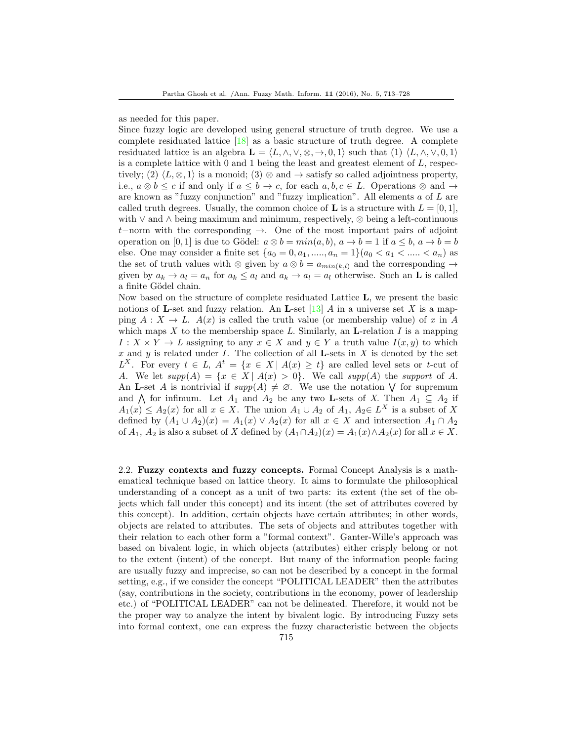as needed for this paper.

Since fuzzy logic are developed using general structure of truth degree. We use a complete residuated lattice  $\begin{bmatrix} 18 \end{bmatrix}$  as a basic structure of truth degree. A complete residuated lattice is an algebra  $\mathbf{L} = \langle L, \wedge, \vee, \otimes, \to, 0, 1 \rangle$  such that  $(1) \langle L, \wedge, \vee, 0, 1 \rangle$ is a complete lattice with  $0$  and  $1$  being the least and greatest element of  $L$ , respectively; (2)  $\langle L, \otimes, 1 \rangle$  is a monoid; (3)  $\otimes$  and  $\rightarrow$  satisfy so called adjointness property, i.e.,  $a \otimes b \leq c$  if and only if  $a \leq b \to c$ , for each  $a, b, c \in L$ . Operations  $\otimes$  and  $\to$ are known as "fuzzy conjunction" and "fuzzy implication". All elements a of L are called truth degrees. Usually, the common choice of **L** is a structure with  $L = [0, 1]$ , with ∨ and ∧ being maximum and minimum, respectively, ⊗ being a left-continuous t−norm with the corresponding →. One of the most important pairs of adjoint operation on [0, 1] is due to Gödel:  $a \otimes b = min(a, b), a \rightarrow b = 1$  if  $a \leq b, a \rightarrow b = b$ else. One may consider a finite set  $\{a_0 = 0, a_1, \ldots, a_n = 1\}$  $(a_0 < a_1 < \ldots < a_n)$  as the set of truth values with ⊗ given by  $a \otimes b = a_{min(k,l)}$  and the corresponding  $\rightarrow$ given by  $a_k \to a_l = a_n$  for  $a_k \leq a_l$  and  $a_k \to a_l = a_l$  otherwise. Such an **L** is called a finite Gödel chain.

Now based on the structure of complete residuated Lattice L, we present the basic notions of **L**-set and fuzzy relation. An **L**-set  $[13]$  A in a universe set X is a mapping  $A: X \to L$ .  $A(x)$  is called the truth value (or membership value) of x in A which maps X to the membership space L. Similarly, an **L**-relation I is a mapping  $I: X \times Y \to L$  assigning to any  $x \in X$  and  $y \in Y$  a truth value  $I(x, y)$  to which x and y is related under I. The collection of all **L**-sets in X is denoted by the set  $L^X$ . For every  $t \in L$ ,  $A^t = \{x \in X \mid A(x) \geq t\}$  are called level sets or t-cut of A. We let  $supp(A) = \{x \in X \mid A(x) > 0\}$ . We call  $supp(A)$  the support of A. An **L**-set A is nontrivial if  $supp(A) \neq \emptyset$ . We use the notation  $\bigvee$  for supremum and  $\bigwedge$  for infimum. Let  $A_1$  and  $A_2$  be any two **L**-sets of X. Then  $A_1 \subseteq A_2$  if  $A_1(x) \leq A_2(x)$  for all  $x \in X$ . The union  $A_1 \cup A_2$  of  $A_1, A_2 \in L^X$  is a subset of X defined by  $(A_1 \cup A_2)(x) = A_1(x) \vee A_2(x)$  for all  $x \in X$  and intersection  $A_1 \cap A_2$ of  $A_1$ ,  $A_2$  is also a subset of X defined by  $(A_1 \cap A_2)(x) = A_1(x) \wedge A_2(x)$  for all  $x \in X$ .

2.2. Fuzzy contexts and fuzzy concepts. Formal Concept Analysis is a mathematical technique based on lattice theory. It aims to formulate the philosophical understanding of a concept as a unit of two parts: its extent (the set of the objects which fall under this concept) and its intent (the set of attributes covered by this concept). In addition, certain objects have certain attributes; in other words, objects are related to attributes. The sets of objects and attributes together with their relation to each other form a "formal context". Ganter-Wille's approach was based on bivalent logic, in which objects (attributes) either crisply belong or not to the extent (intent) of the concept. But many of the information people facing are usually fuzzy and imprecise, so can not be described by a concept in the formal setting, e.g., if we consider the concept "POLITICAL LEADER" then the attributes (say, contributions in the society, contributions in the economy, power of leadership etc.) of "POLITICAL LEADER" can not be delineated. Therefore, it would not be the proper way to analyze the intent by bivalent logic. By introducing Fuzzy sets into formal context, one can express the fuzzy characteristic between the objects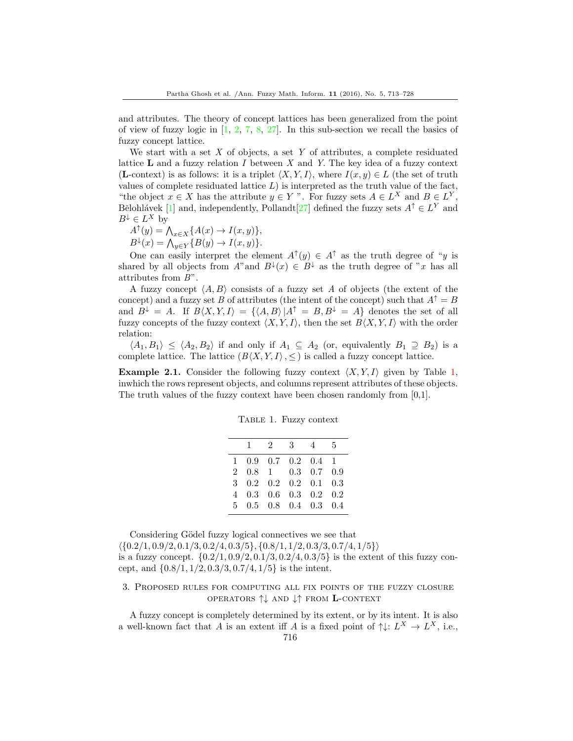and attributes. The theory of concept lattices has been generalized from the point of view of fuzzy logic in  $[1, 2, 7, 8, 27]$  $[1, 2, 7, 8, 27]$  $[1, 2, 7, 8, 27]$  $[1, 2, 7, 8, 27]$  $[1, 2, 7, 8, 27]$  $[1, 2, 7, 8, 27]$  $[1, 2, 7, 8, 27]$  $[1, 2, 7, 8, 27]$  $[1, 2, 7, 8, 27]$ . In this sub-section we recall the basics of fuzzy concept lattice.

We start with a set  $X$  of objects, a set  $Y$  of attributes, a complete residuated lattice  **and a fuzzy relation**  $I$  **between**  $X$  **and**  $Y$ **. The key idea of a fuzzy context** (**L**-context) is as follows: it is a triplet  $\langle X, Y, I \rangle$ , where  $I(x, y) \in L$  (the set of truth values of complete residuated lattice  $L$ ) is interpreted as the truth value of the fact, "the object  $x \in X$  has the attribute  $y \in Y$ ". For fuzzy sets  $A \in L^X$  and  $B \in L^Y$ , Bělohlávek [\[1\]](#page-14-4) and, independently, Pollandt[\[27\]](#page-15-1) defined the fuzzy sets  $A^{\uparrow} \in L^{\mathcal{Y}}$  and  $B^{\downarrow} \in L^X$  by

- $A^{\uparrow}(y) = \bigwedge_{x \in X} \{A(x) \to I(x, y)\},\,$
- $B^{\downarrow}(x) = \bigwedge_{y \in Y} \{B(y) \to I(x, y)\}.$

One can easily interpret the element  $A^{\uparrow}(y) \in A^{\uparrow}$  as the truth degree of "y is shared by all objects from A" and  $B^{\downarrow}(x) \in B^{\downarrow}$  as the truth degree of "x has all attributes from B".

A fuzzy concept  $\langle A, B \rangle$  consists of a fuzzy set A of objects (the extent of the concept) and a fuzzy set B of attributes (the intent of the concept) such that  $A^{\uparrow} = B$ and  $B^{\downarrow} = A$ . If  $B\langle X, Y, I\rangle = \{\langle A, B\rangle |A^{\uparrow} = B, B^{\downarrow} = A\}$  denotes the set of all fuzzy concepts of the fuzzy context  $\langle X, Y, I \rangle$ , then the set  $B\langle X, Y, I \rangle$  with the order relation:

 $\langle A_1, B_1 \rangle \leq \langle A_2, B_2 \rangle$  if and only if  $A_1 \subseteq A_2$  (or, equivalently  $B_1 \supseteq B_2$ ) is a complete lattice. The lattice  $(B\langle X, Y, I \rangle, \leq)$  is called a fuzzy concept lattice.

**Example 2.1.** Consider the following fuzzy context  $\langle X, Y, I \rangle$  given by Table 1, inwhich the rows represent objects, and columns represent attributes of these objects. The truth values of the fuzzy context have been chosen randomly from [0,1].

|  | TABLE 1. Fuzzy context |
|--|------------------------|
|  |                        |

| $\mathbf{1}$ | $2^{\circ}$ | 3 4 |                                                  | 5 |
|--------------|-------------|-----|--------------------------------------------------|---|
|              |             |     | $1\quad 0.9\quad 0.7\quad 0.2\quad 0.4\quad 1$   |   |
|              |             |     | 2 0.8 1 0.3 0.7 0.9                              |   |
|              |             |     | $3\quad 0.2\quad 0.2\quad 0.2\quad 0.1\quad 0.3$ |   |
|              |             |     | $4\quad 0.3\quad 0.6\quad 0.3\quad 0.2\quad 0.2$ |   |
|              |             |     | 5 0.5 0.8 0.4 0.3 0.4                            |   |

Considering Gödel fuzzy logical connectives we see that  $\langle \{0.2/1, 0.9/2, 0.1/3, 0.2/4, 0.3/5\}, \{0.8/1, 1/2, 0.3/3, 0.7/4, 1/5\}\rangle$ is a fuzzy concept.  $\{0.2/1, 0.9/2, 0.1/3, 0.2/4, 0.3/5\}$  is the extent of this fuzzy concept, and  $\{0.8/1, 1/2, 0.3/3, 0.7/4, 1/5\}$  is the intent.

3. Proposed rules for computing all fix points of the fuzzy closure operators ↑↓ and ↓↑ from L-context

A fuzzy concept is completely determined by its extent, or by its intent. It is also a well-known fact that A is an extent iff A is a fixed point of  $\uparrow\downarrow: L^X \to L^X$ , i.e.,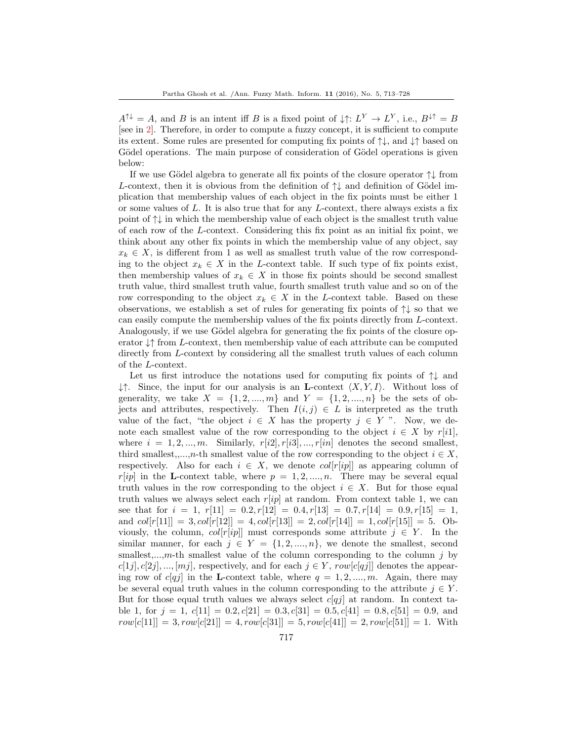$A^{\uparrow\downarrow} = A$ , and B is an intent iff B is a fixed point of  $\downarrow\uparrow: L^Y \to L^Y$ , i.e.,  $B^{\downarrow\uparrow} = B$ [see in 2]. Therefore, in order to compute a fuzzy concept, it is sufficient to compute its extent. Some rules are presented for computing fix points of ↑↓, and ↓↑ based on Gödel operations. The main purpose of consideration of Gödel operations is given below:

If we use Gödel algebra to generate all fix points of the closure operator  $\uparrow\downarrow$  from L-context, then it is obvious from the definition of  $\uparrow\downarrow$  and definition of Gödel implication that membership values of each object in the fix points must be either 1 or some values of  $L$ . It is also true that for any  $L$ -context, there always exists a fix point of  $\uparrow\downarrow$  in which the membership value of each object is the smallest truth value of each row of the L-context. Considering this fix point as an initial fix point, we think about any other fix points in which the membership value of any object, say  $x_k \in X$ , is different from 1 as well as smallest truth value of the row corresponding to the object  $x_k \in X$  in the L-context table. If such type of fix points exist, then membership values of  $x_k \in X$  in those fix points should be second smallest truth value, third smallest truth value, fourth smallest truth value and so on of the row corresponding to the object  $x_k \in X$  in the L-context table. Based on these observations, we establish a set of rules for generating fix points of ↑↓ so that we can easily compute the membership values of the fix points directly from L-context. Analogously, if we use Gödel algebra for generating the fix points of the closure operator  $\downarrow \uparrow$  from L-context, then membership value of each attribute can be computed directly from L-context by considering all the smallest truth values of each column of the L-context.

Let us first introduce the notations used for computing fix points of  $\uparrow\downarrow$  and  $\downarrow \uparrow$ . Since, the input for our analysis is an **L**-context  $\langle X, Y, I \rangle$ . Without loss of generality, we take  $X = \{1, 2, ..., m\}$  and  $Y = \{1, 2, ..., n\}$  be the sets of objects and attributes, respectively. Then  $I(i, j) \in L$  is interpreted as the truth value of the fact, "the object  $i \in X$  has the property  $j \in Y$ ". Now, we denote each smallest value of the row corresponding to the object  $i \in X$  by  $r[i]$ , where  $i = 1, 2, ..., m$ . Similarly,  $r[i2], r[i3], ..., r[in]$  denotes the second smallest, third smallest,,...,n-th smallest value of the row corresponding to the object  $i \in X$ , respectively. Also for each  $i \in X$ , we denote  $col[r[ip]]$  as appearing column of  $r[ip]$  in the L-context table, where  $p = 1, 2, ..., n$ . There may be several equal truth values in the row corresponding to the object  $i \in X$ . But for those equal truth values we always select each  $r[ip]$  at random. From context table 1, we can see that for  $i = 1$ ,  $r[11] = 0.2, r[12] = 0.4, r[13] = 0.7, r[14] = 0.9, r[15] = 1$ , and  $col[r[11]] = 3, col[r[12]] = 4, col[r[13]] = 2, col[r[14]] = 1, col[r[15]] = 5. Ob$ viously, the column,  $col[r[i]$  must corresponds some attribute  $j \in Y$ . In the similar manner, for each  $j \in Y = \{1, 2, ..., n\}$ , we denote the smallest, second smallest,...,m-th smallest value of the column corresponding to the column  $j$  by  $c[1j], c[2j], ..., [mj]$ , respectively, and for each  $j \in Y$ ,  $row[c[qj]]$  denotes the appearing row of  $c[qj]$  in the **L**-context table, where  $q = 1, 2, ..., m$ . Again, there may be several equal truth values in the column corresponding to the attribute  $j \in Y$ . But for those equal truth values we always select  $c[qj]$  at random. In context table 1, for  $j = 1$ ,  $c[11] = 0.2$ ,  $c[21] = 0.3$ ,  $c[31] = 0.5$ ,  $c[41] = 0.8$ ,  $c[51] = 0.9$ , and  $row[c[11]] = 3, row[c[21]] = 4, row[c[31]] = 5, row[c[41]] = 2, row[c[51]] = 1. With$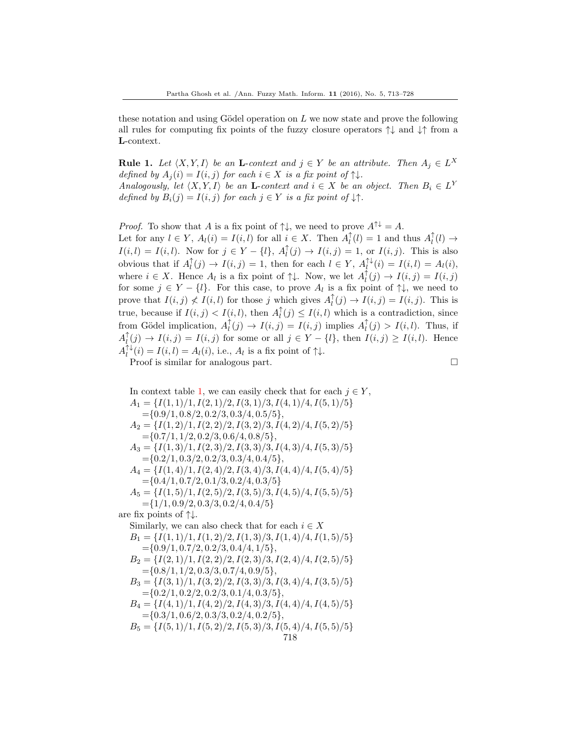these notation and using Gödel operation on  $L$  we now state and prove the following all rules for computing fix points of the fuzzy closure operators  $\uparrow \downarrow$  and  $\downarrow \uparrow$  from a L-context.

**Rule 1.** Let  $\langle X, Y, I \rangle$  be an **L**-context and  $j \in Y$  be an attribute. Then  $A_j \in L^X$ defined by  $A_i(i) = I(i, j)$  for each  $i \in X$  is a fix point of  $\uparrow \downarrow$ . Analogously, let  $\langle X, Y, I \rangle$  be an **L**-context and  $i \in X$  be an object. Then  $B_i \in L^Y$ defined by  $B_i(j) = I(i, j)$  for each  $j \in Y$  is a fix point of  $\downarrow \uparrow$ .

*Proof.* To show that A is a fix point of  $\uparrow\downarrow$ , we need to prove  $A^{\uparrow\downarrow} = A$ . Let for any  $l \in Y$ ,  $A_l(i) = I(i, l)$  for all  $i \in X$ . Then  $A_l^{\uparrow}(l) = 1$  and thus  $A_l^{\uparrow}(l) \to$  $I(i, l) = I(i, l)$ . Now for  $j \in Y - \{l\}, A_l^{\uparrow}(j) \to I(i, j) = 1$ , or  $I(i, j)$ . This is also obvious that if  $A_l^{\uparrow}(j) \to I(i, j) = 1$ , then for each  $l \in Y$ ,  $A_l^{\uparrow\downarrow}(i) = I(i, l) = A_l(i)$ , where  $i \in X$ . Hence  $A_l$  is a fix point of  $\uparrow \downarrow$ . Now, we let  $A_l^{\uparrow}(j) \to I(i,j) = I(i,j)$ for some  $j \in Y - \{l\}$ . For this case, to prove  $A_l$  is a fix point of  $\uparrow \downarrow$ , we need to prove that  $I(i, j) \nless I(i, l)$  for those j which gives  $A_l^{\uparrow}(j) \rightarrow I(i, j) = I(i, j)$ . This is true, because if  $I(i, j) < I(i, l)$ , then  $A_l^{\uparrow}(j) \leq I(i, l)$  which is a contradiction, since from Gödel implication,  $A_l^{\uparrow}(j) \to I(i, j) = I(i, j)$  implies  $A_l^{\uparrow}(j) > I(i, l)$ . Thus, if  $A_l^{\uparrow}(j) \to I(i, j) = I(i, j)$  for some or all  $j \in Y - \{l\}$ , then  $I(i, j) \geq I(i, l)$ . Hence  $A_l^{\uparrow\downarrow}(i) = I(i, l) = A_l(i)$ , i.e.,  $A_l$  is a fix point of  $\uparrow\downarrow$ . Proof is similar for analogous part.

In context table 1, we can easily check that for each  $j \in Y$ ,  $A_1 = \{I(1,1)/1, I(2,1)/2, I(3,1)/3, I(4,1)/4, I(5,1)/5\}$  $=\{0.9/1, 0.8/2, 0.2/3, 0.3/4, 0.5/5\},\$  $A_2 = \{I(1,2)/1, I(2,2)/2, I(3,2)/3, I(4,2)/4, I(5,2)/5\}$  $=\{0.7/1, 1/2, 0.2/3, 0.6/4, 0.8/5\},\$  $A_3 = \{I(1,3)/1, I(2,3)/2, I(3,3)/3, I(4,3)/4, I(5,3)/5\}$  $=\{0.2/1, 0.3/2, 0.2/3, 0.3/4, 0.4/5\},\$  $A_4 = \{I(1,4)/1, I(2,4)/2, I(3,4)/3, I(4,4)/4, I(5,4)/5\}$  $=\{0.4/1, 0.7/2, 0.1/3, 0.2/4, 0.3/5\}$  $A_5 = \{I(1,5)/1, I(2,5)/2, I(3,5)/3, I(4,5)/4, I(5,5)/5\}$  $=\{1/1, 0.9/2, 0.3/3, 0.2/4, 0.4/5\}$ are fix points of  $\uparrow\downarrow$ . Similarly, we can also check that for each  $i \in X$  $B_1 = \{I(1,1)/1, I(1,2)/2, I(1,3)/3, I(1,4)/4, I(1,5)/5\}$  $=\{0.9/1, 0.7/2, 0.2/3, 0.4/4, 1/5\},\$  $B_2 = \{I(2,1)/1, I(2,2)/2, I(2,3)/3, I(2,4)/4, I(2,5)/5\}$  $=\{0.8/1, 1/2, 0.3/3, 0.7/4, 0.9/5\},\$  $B_3 = \{I(3,1)/1, I(3,2)/2, I(3,3)/3, I(3,4)/4, I(3,5)/5\}$  $=\{0.2/1, 0.2/2, 0.2/3, 0.1/4, 0.3/5\},\$  $B_4 = \{I(4,1)/1, I(4,2)/2, I(4,3)/3, I(4,4)/4, I(4,5)/5\}$  $=\{0.3/1, 0.6/2, 0.3/3, 0.2/4, 0.2/5\},\$  $B_5 = \{I(5,1)/1, I(5,2)/2, I(5,3)/3, I(5,4)/4, I(5,5)/5\}$ 718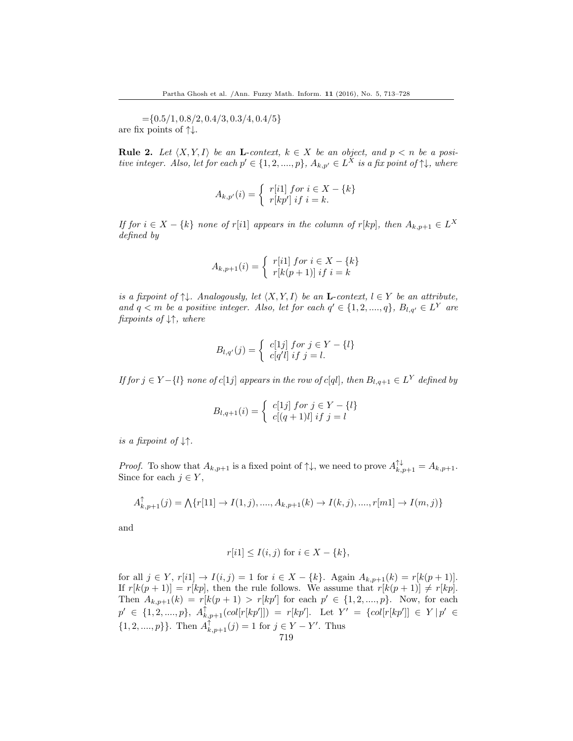$=\{0.5/1, 0.8/2, 0.4/3, 0.3/4, 0.4/5\}$ are fix points of ↑↓.

**Rule 2.** Let  $\langle X, Y, I \rangle$  be an **L**-context,  $k \in X$  be an object, and  $p < n$  be a positive integer. Also, let for each  $p' \in \{1, 2, ..., p\}$ ,  $A_{k, p'} \in L^X$  is a fix point of  $\uparrow\downarrow$ , where

$$
A_{k,p'}(i) = \begin{cases} r[i1] \text{ for } i \in X - \{k\} \\ r[kp'] \text{ if } i = k. \end{cases}
$$

If for  $i \in X - \{k\}$  none of r[i1] appears in the column of r[kp], then  $A_{k,p+1} \in L^X$ defined by

$$
A_{k,p+1}(i) = \begin{cases} r[i1] for i \in X - \{k\} \\ r[k(p+1)] if i = k \end{cases}
$$

is a fixpoint of  $\uparrow\downarrow$ . Analogously, let  $\langle X, Y, I \rangle$  be an **L**-context,  $l \in Y$  be an attribute, and  $q < m$  be a positive integer. Also, let for each  $q' \in \{1, 2, ..., q\}$ ,  $B_{l,q'} \in L^Y$  are fixpoints of ↓↑, where

$$
B_{l,q'}(j) = \begin{cases} c[1j] \ for \ j \in Y - \{l\} \\ c[q'l] \ if \ j = l. \end{cases}
$$

If for  $j \in Y - \{l\}$  none of  $c[1j]$  appears in the row of  $c[ql]$ , then  $B_{l,q+1} \in L^Y$  defined by

$$
B_{l,q+1}(i) = \begin{cases} c[1j] \ for \ j \in Y - \{l\} \\ c[(q+1)l] \ if \ j = l \end{cases}
$$

is a fixpoint of  $\downarrow \uparrow$ .

*Proof.* To show that  $A_{k,p+1}$  is a fixed point of  $\uparrow\downarrow$ , we need to prove  $A_{k,p+1}^{\uparrow\downarrow} = A_{k,p+1}$ . Since for each  $j \in Y$ ,

$$
A_{k,p+1}^{\uparrow}(j) = \bigwedge \{r[11] \to I(1,j),....,A_{k,p+1}(k) \to I(k,j),....,r[m1] \to I(m,j)\}
$$

and

$$
r[i1] \le I(i,j) \text{ for } i \in X - \{k\},
$$

for all  $j \in Y$ ,  $r[i1] \to I(i, j) = 1$  for  $i \in X - \{k\}$ . Again  $A_{k, p+1}(k) = r[k(p+1)]$ . If  $r[k(p + 1)] = r[kp]$ , then the rule follows. We assume that  $r[k(p + 1)] \neq r[kp]$ . Then  $A_{k,p+1}(k) = r[k(p+1) > r[kp']$  for each  $p' \in \{1, 2, ..., p\}$ . Now, for each  $p' \in \{1, 2, ..., p\}, \ A^{\uparrow}_{k, p+1}(col[r[kp']]\}) = r[kp']. \ \ \text{Let} \ \ Y' = \{col[r[kp']] \ \in Y \ | p' \in$  $\{1, 2, ..., p\}$ . Then  $A_{k, p+1}^{\uparrow}(j) = 1$  for  $j \in Y - Y'$ . Thus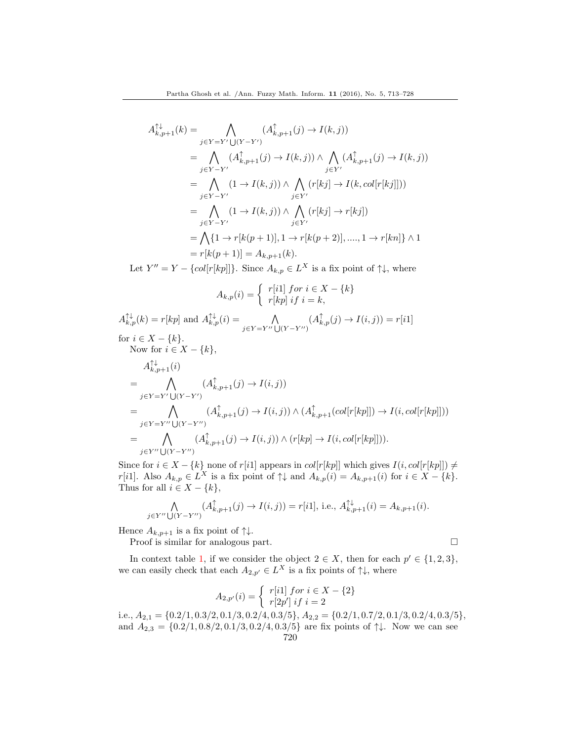$$
A_{k,p+1}^{\uparrow\downarrow}(k) = \bigwedge_{j \in Y = Y'} (A_{k,p+1}^{\uparrow}(j) \to I(k,j))
$$
  
\n
$$
= \bigwedge_{j \in Y - Y'} (A_{k,p+1}^{\uparrow}(j) \to I(k,j)) \wedge \bigwedge_{j \in Y'} (A_{k,p+1}^{\uparrow}(j) \to I(k,j))
$$
  
\n
$$
= \bigwedge_{j \in Y - Y'} (1 \to I(k,j)) \wedge \bigwedge_{j \in Y'} (r[kj] \to I(k, col[r[kj]]))
$$
  
\n
$$
= \bigwedge_{j \in Y - Y'} (1 \to I(k,j)) \wedge \bigwedge_{j \in Y'} (r[kj] \to r[kj])
$$
  
\n
$$
= \bigwedge_{j \in Y - Y'} \{1 \to r[k(p+1)], 1 \to r[k(p+2)], \dots, 1 \to r[kn] \} \wedge 1
$$
  
\n
$$
= r[k(p+1)] = A_{k,p+1}(k).
$$

Let  $Y'' = Y - \{col[r[kp]]\}$ . Since  $A_{k,p} \in L^X$  is a fix point of  $\uparrow \downarrow$ , where

$$
A_{k,p}(i) = \begin{cases} r[i1] \text{ for } i \in X - \{k\} \\ r[kp] \text{ if } i = k, \end{cases}
$$

 $A_{k,p}^{\uparrow\downarrow}(k) = r[kp]$  and  $A_{k,p}^{\uparrow\downarrow}(i) = \bigwedge_{j \in Y = Y'' \cup (Y - Y'')}$  $(A_{k,p}^{\uparrow}(j) \rightarrow I(i,j)) = r[i1]$ for  $i \in X - \{k\}$ . Now for  $i \in X - \{k\},\$  $A_{k,p+1}^{\uparrow\downarrow}(i)$  $\overline{\phantom{a}}$   $\overline{\phantom{a}}$  $j \in Y = Y' \bigcup (Y - Y')$  $(A_{k,p+1}^{\uparrow}(j) \rightarrow I(i,j))$  $\overline{\phantom{a}}$   $\overline{\phantom{a}}$  $j \in Y = Y'' \cup (Y - Y'')$  $(A_{k,p+1}^{\uparrow}(j) \rightarrow I(i,j)) \wedge (A_{k,p+1}^{\uparrow}(col[r[kp]]) \rightarrow I(i,col[r[kp]])$  $=$   $\wedge$  $j \in Y'' \bigcup (Y - Y'')$  $(A_{k,p+1}^{\uparrow}(j) \rightarrow I(i,j)) \wedge (r[kp] \rightarrow I(i, col[r[kp]])).$ 

Since for  $i \in X - \{k\}$  none of r[i1] appears in  $col[r[kp]]$  which gives  $I(i, col[r[kp]]) \neq$ r[i1]. Also  $A_{k,p} \in L^X$  is a fix point of  $\uparrow \downarrow$  and  $A_{k,p}(i) = A_{k,p+1}(i)$  for  $i \in X - \{k\}.$ Thus for all  $i \in X - \{k\},\$ 

$$
\bigwedge_{j \in Y'' \cup (Y - Y'')} (A_{k, p+1}^{\uparrow}(j) \to I(i, j)) = r[i1], \text{ i.e., } A_{k, p+1}^{\uparrow \downarrow}(i) = A_{k, p+1}(i).
$$

Hence  $A_{k,p+1}$  is a fix point of  $\uparrow\downarrow$ .

Proof is similar for analogous part.

In context table 1, if we consider the object  $2 \in X$ , then for each  $p' \in \{1,2,3\}$ , we can easily check that each  $A_{2,p'} \in L^X$  is a fix points of  $\uparrow \downarrow$ , where

$$
A_{2,p'}(i) = \begin{cases} r[i1] \ for \ i \in X - \{2\} \\ r[2p'] \ if \ i = 2 \end{cases}
$$

i.e.,  $A_{2,1} = \{0.2/1, 0.3/2, 0.1/3, 0.2/4, 0.3/5\}, A_{2,2} = \{0.2/1, 0.7/2, 0.1/3, 0.2/4, 0.3/5\},$ and  $A_{2,3} = \{0.2/1, 0.8/2, 0.1/3, 0.2/4, 0.3/5\}$  are fix points of  $\uparrow\downarrow$ . Now we can see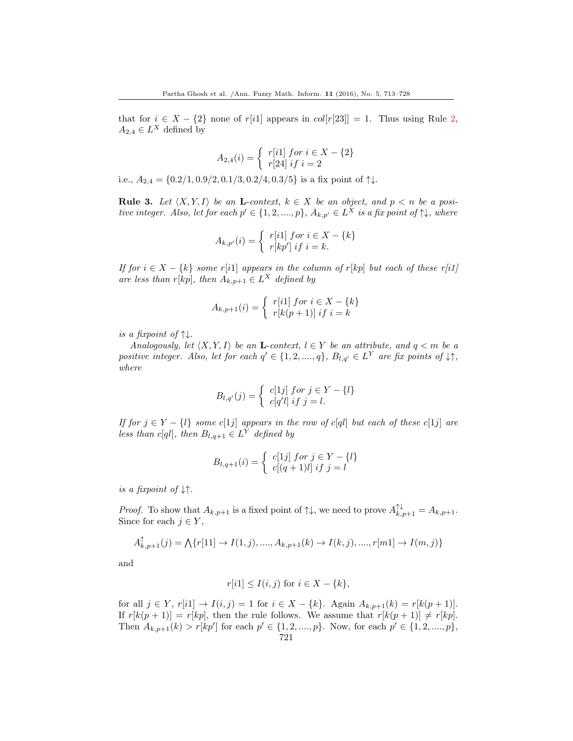that for  $i \in X - \{2\}$  none of r[i1] appears in  $col[r[23]] = 1$ . Thus using Rule 2,  $A_{2,4} \in L^X$  defined by

$$
A_{2,4}(i) = \begin{cases} r[i1] \text{ for } i \in X - \{2\} \\ r[24] \text{ if } i = 2 \end{cases}
$$

i.e.,  $A_{2,4} = \{0.2/1, 0.9/2, 0.1/3, 0.2/4, 0.3/5\}$  is a fix point of  $\uparrow\downarrow$ .

**Rule 3.** Let  $\langle X, Y, I \rangle$  be an **L**-context,  $k \in X$  be an object, and  $p < n$  be a positive integer. Also, let for each  $p' \in \{1, 2, ..., p\}$ ,  $A_{k, p'} \in L^X$  is a fix point of  $\uparrow\downarrow$ , where

$$
A_{k,p'}(i) = \begin{cases} r[i1] \text{ for } i \in X - \{k\} \\ r[kp'] \text{ if } i = k. \end{cases}
$$

If for  $i \in X - \{k\}$  some r[i1] appears in the column of r[kp] but each of these r[i1] are less than r[kp], then  $A_{k,p+1} \in L^X$  defined by

$$
A_{k,p+1}(i) = \begin{cases} r[i1] \text{ for } i \in X - \{k\} \\ r[k(p+1)] \text{ if } i = k \end{cases}
$$

is a fixpoint of  $\uparrow\downarrow$ .

Analogously, let  $\langle X, Y, I \rangle$  be an **L**-context,  $l \in Y$  be an attribute, and  $q < m$  be a positive integer. Also, let for each  $q' \in \{1, 2, ..., q\}$ ,  $B_{l,q'} \in L^Y$  are fix points of  $\downarrow \uparrow$ , where

$$
B_{l,q'}(j) = \begin{cases} c[1j] \ for \ j \in Y - \{l\} \\ c[q'l] \ if \ j = l. \end{cases}
$$

If for  $j \in Y - \{l\}$  some  $c[1j]$  appears in the row of  $c[ql]$  but each of these  $c[1j]$  are less than c[ql], then  $B_{l,q+1} \in L^Y$  defined by

$$
B_{l,q+1}(i) = \begin{cases} c[1j] \text{ for } j \in Y - \{l\} \\ c[(q+1)l] \text{ if } j = l \end{cases}
$$

is a fixpoint of  $\downarrow \uparrow$ .

*Proof.* To show that  $A_{k,p+1}$  is a fixed point of  $\uparrow\downarrow$ , we need to prove  $A_{k,p+1}^{\uparrow\downarrow} = A_{k,p+1}$ . Since for each  $j \in Y$ ,

$$
A_{k,p+1}^{\uparrow}(j) = \bigwedge \{r[11] \to I(1,j),....,A_{k,p+1}(k) \to I(k,j),....,r[m1] \to I(m,j)\}
$$

and

$$
r[i1] \le I(i,j) \text{ for } i \in X - \{k\},
$$

for all  $j \in Y$ ,  $r[i] \to I(i, j) = 1$  for  $i \in X - \{k\}$ . Again  $A_{k, p+1}(k) = r[k(p+1)]$ . If  $r[k(p+1)] = r[kp]$ , then the rule follows. We assume that  $r[k(p+1)] \neq r[kp]$ . Then  $A_{k,p+1}(k) > r[kp']$  for each  $p' \in \{1, 2, ..., p\}$ . Now, for each  $p' \in \{1, 2, ..., p\}$ , 721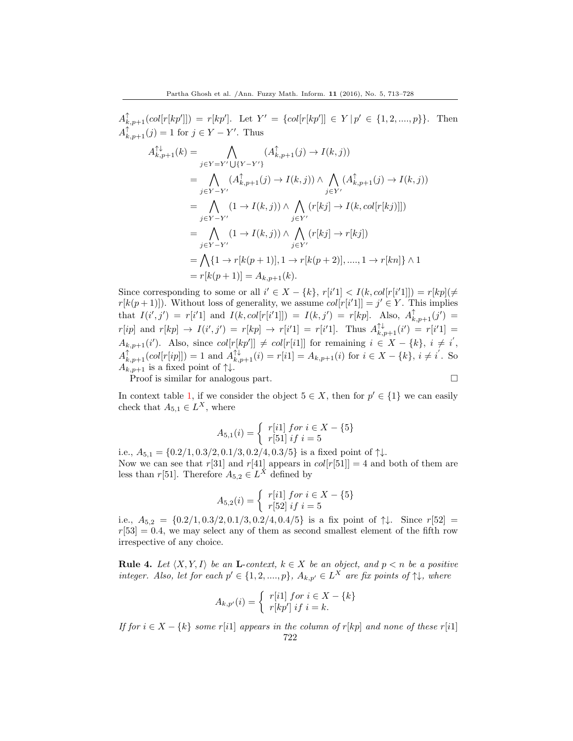$A_{k,p+1}^{\uparrow}(col[r[kp']]) = r[kp']$ . Let  $Y' = \{col[r[kp']] \in Y | p' \in \{1, 2, ..., p\}\}$ . Then  $A_{k,p+1}^{\uparrow}(j) = 1$  for  $j \in Y - Y'$ . Thus

$$
A_{k,p+1}^{\uparrow\downarrow}(k) = \bigwedge_{j \in Y = Y'} (A_{k,p+1}^{\uparrow}(j) \to I(k,j))
$$
  
\n
$$
= \bigwedge_{j \in Y = Y'} (A_{k,p+1}^{\uparrow}(j) \to I(k,j)) \wedge \bigwedge_{j \in Y'} (A_{k,p+1}^{\uparrow}(j) \to I(k,j))
$$
  
\n
$$
= \bigwedge_{j \in Y = Y'} (1 \to I(k,j)) \wedge \bigwedge_{j \in Y'} (r[kj] \to I(k, col[r[kj)]])
$$
  
\n
$$
= \bigwedge_{j \in Y = Y'} (1 \to I(k,j)) \wedge \bigwedge_{j \in Y'} (r[kj] \to r[kj])
$$
  
\n
$$
= \bigwedge \{1 \to r[k(p+1)], 1 \to r[k(p+2)], \dots, 1 \to r[kn] \} \wedge 1
$$
  
\n
$$
= r[k(p+1)] = A_{k,p+1}(k).
$$

Since corresponding to some or all  $i' \in X - \{k\}, r[i'1] < I(k, col[r[i'1]]) = r[kp](\neq)$  $r[k(p+1)]$ . Without loss of generality, we assume  $col[r[i'1]] = j' \in Y$ . This implies that  $I(i',j') = r[i'1]$  and  $I(k, col[r[i'1]]) = I(k,j') = r[kp]$ . Also,  $A_{k,p+1}^{\uparrow}(j') =$  $r[ip]$  and  $r[kp] \to I(i',j') = r[kp] \to r[i'1] = r[i'1]$ . Thus  $A_{k,p+1}^{\uparrow\downarrow}(i') = r[i'1] =$  $A_{k,p+1}(i')$ . Also, since  $col[r[kp']]\neq col[r[i1]]$  for remaining  $i \in X - \{k\}, i \neq i'$ ,  $A_{k,p+1}^{\uparrow}(\text{col}[r[ip]]) = 1$  and  $A_{k,p+1}^{\uparrow\downarrow}(i) = r[i1] = A_{k,p+1}(i)$  for  $i \in X - \{k\}, i \neq i'$ . So  $A_{k,p+1}$  is a fixed point of  $\uparrow\downarrow$ .

Proof is similar for analogous part.

In context table 1, if we consider the object  $5 \in X$ , then for  $p' \in \{1\}$  we can easily check that  $A_{5,1} \in L^X$ , where

$$
A_{5,1}(i) = \begin{cases} r[i1] \text{ for } i \in X - \{5\} \\ r[51] \text{ if } i = 5 \end{cases}
$$

i.e.,  $A_{5,1} = \{0.2/1, 0.3/2, 0.1/3, 0.2/4, 0.3/5\}$  is a fixed point of  $\uparrow\downarrow$ . Now we can see that  $r[31]$  and  $r[41]$  appears in  $col[r[51]] = 4$  and both of them are less than  $r[51]$ . Therefore  $A_{5,2} \in L^X$  defined by

$$
A_{5,2}(i) = \begin{cases} r[i1] \text{ for } i \in X - \{5\} \\ r[52] \text{ if } i = 5 \end{cases}
$$

i.e.,  $A_{5,2} = \{0.2/1, 0.3/2, 0.1/3, 0.2/4, 0.4/5\}$  is a fix point of  $\uparrow \downarrow$ . Since  $r[52] =$  $r[53] = 0.4$ , we may select any of them as second smallest element of the fifth row irrespective of any choice.

**Rule 4.** Let  $\langle X, Y, I \rangle$  be an **L**-context,  $k \in X$  be an object, and  $p < n$  be a positive integer. Also, let for each  $p' \in \{1, 2, ..., p\}$ ,  $A_{k,p'} \in L^X$  are fix points of  $\uparrow \downarrow$ , where

$$
A_{k,p'}(i) = \begin{cases} r[i1] \text{ for } i \in X - \{k\} \\ r[kp'] \text{ if } i = k. \end{cases}
$$

If for  $i \in X - \{k\}$  some r[i1] appears in the column of r[kp] and none of these r[i1] 722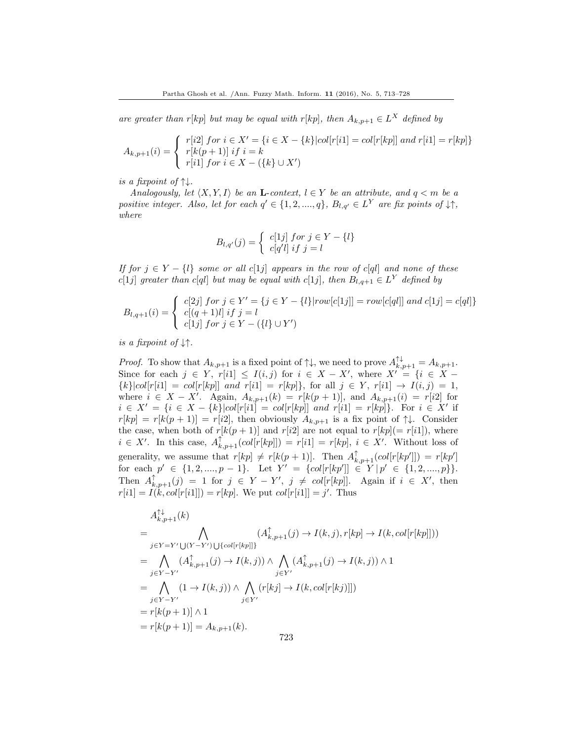are greater than r[kp] but may be equal with r[kp], then  $A_{k,p+1} \in L^X$  defined by

$$
A_{k,p+1}(i) = \begin{cases} r[i2] \text{ for } i \in X' = \{i \in X - \{k\} | col[r[i1] = col[r[kp]] \text{ and } r[i1] = r[kp] \} \\ r[k(p+1)] \text{ if } i = k \\ r[i1] \text{ for } i \in X - (\{k\} \cup X') \end{cases}
$$

is a fixpoint of  $\uparrow\downarrow$ .

Analogously, let  $\langle X, Y, I \rangle$  be an **L**-context,  $l \in Y$  be an attribute, and  $q < m$  be a positive integer. Also, let for each  $q' \in \{1, 2, ..., q\}$ ,  $B_{l,q'} \in L^Y$  are fix points of  $\downarrow \uparrow$ , where

$$
B_{l,q'}(j) = \begin{cases} c[1j] \ for \ j \in Y - \{l\} \\ c[q'l] \ if \ j = l \end{cases}
$$

If for  $j \in Y - \{l\}$  some or all  $c[1j]$  appears in the row of  $c[ql]$  and none of these  $c[1j]$  greater than  $c[q]$  but may be equal with  $c[1j]$ , then  $B_{l,q+1} \in L^Y$  defined by

$$
B_{l,q+1}(i) = \begin{cases} c[2j] \ for \ j \in Y' = \{j \in Y - \{l\} | row[c[1j]] = row[c[ql]] \ and \ c[1j] = c[ql] \} \\ c[(q+1)l] \ if \ j = l \\ c[1j] \ for \ j \in Y - (\{l\} \cup Y') \end{cases}
$$

is a fixpoint of  $\downarrow\uparrow$ .

*Proof.* To show that  $A_{k,p+1}$  is a fixed point of  $\uparrow\downarrow$ , we need to prove  $A_{k,p+1}^{\uparrow\downarrow} = A_{k,p+1}$ . Since for each  $j \in Y$ ,  $r[i1] \leq I(i, j)$  for  $i \in X - X'$ , where  $X' = \{i \in X {k}|col[r[i1] = col[r[kp]]$  and  $r[i1] = r[kp]$ , for all  $j \in Y$ ,  $r[i1] \to I(i, j) = 1$ , where  $i \in X - X'$ . Again,  $A_{k,p+1}(k) = r[k(p+1)]$ , and  $A_{k,p+1}(i) = r[i2]$  for  $i \in X' = \{i \in X - \{k\} | col[r[i]] = col[r[kp]] \text{ and } r[i1] = r[kp] \}.$  For  $i \in X'$  if  $r[kp] = r[k(p+1)] = r[i2]$ , then obviously  $A_{k,p+1}$  is a fix point of  $\uparrow\downarrow$ . Consider the case, when both of  $r[k(p + 1)]$  and  $r[i2]$  are not equal to  $r[kp] (= r[i1])$ , where  $i \in X'$ . In this case,  $A_{k,p+1}^{\uparrow}(col[r[kp]]) = r[i1] = r[kp], i \in X'$ . Without loss of generality, we assume that  $r[kp] \neq r[k(p + 1)]$ . Then  $A_{k,p+1}^{\uparrow}(col[r[kp']] ) = r[kp']$ for each  $p' \in \{1, 2, ..., p-1\}$ . Let  $Y' = \{col[r[kp'] \mid \in Y | p' \in \{1, 2, ..., p\}\}.$ Then  $A_{k,p+1}^{\uparrow}(j) = 1$  for  $j \in Y - Y'$ ,  $j \neq col[r[kp]]$ . Again if  $i \in X'$ , then  $r[i1] = I(k, col[r[i1]]) = r[kp]$ . We put  $col[r[i1]] = j'$ . Thus

$$
A_{k,p+1}^{\uparrow\downarrow}(k)
$$
\n
$$
= \bigwedge_{j\in Y=Y'\bigcup(Y-Y')\bigcup\{col[r[kp]]\}} (A_{k,p+1}^{\uparrow}(j) \to I(k,j), r[kp] \to I(k, col[r[kp]])
$$
\n
$$
= \bigwedge_{j\in Y-Y'} (A_{k,p+1}^{\uparrow}(j) \to I(k,j)) \wedge \bigwedge_{j\in Y'} (A_{k,p+1}^{\uparrow}(j) \to I(k,j)) \wedge 1
$$
\n
$$
= \bigwedge_{j\in Y-Y'} (1 \to I(k,j)) \wedge \bigwedge_{j\in Y'} (r[kj] \to I(k, col[r[kj]]])
$$
\n
$$
= r[k(p+1)] \wedge 1
$$
\n
$$
= r[k(p+1)] = A_{k,p+1}(k).
$$
\n723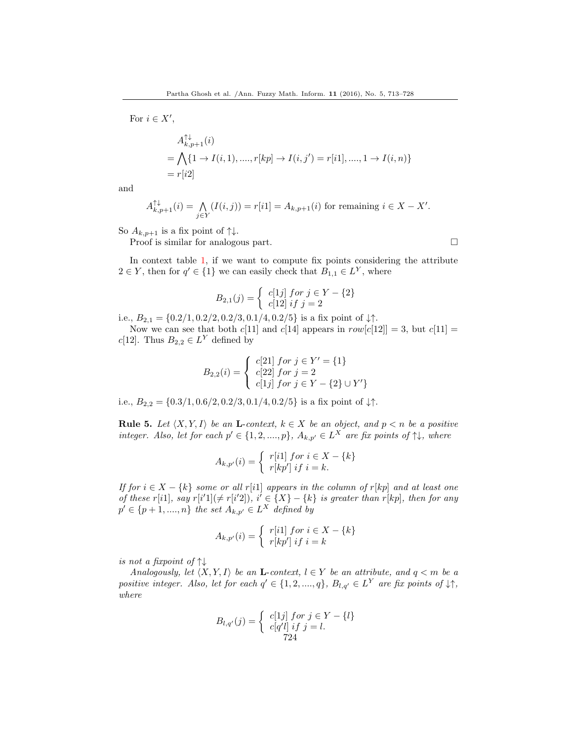For  $i \in X'$ ,

$$
A_{k,p+1}^{\uparrow \downarrow}(i)
$$
  
=  $\bigwedge \{1 \to I(i,1),...,r[kp] \to I(i,j') = r[i1],...,1 \to I(i,n)\}$   
=  $r[i2]$ 

and

$$
A_{k,p+1}^{\uparrow\downarrow}(i) = \bigwedge_{j \in Y} (I(i,j)) = r[i1] = A_{k,p+1}(i)
$$
 for remaining  $i \in X - X'$ .

So  $A_{k,p+1}$  is a fix point of  $\uparrow\downarrow$ .

Proof is similar for analogous part.

In context table 1, if we want to compute fix points considering the attribute  $2 \in Y$ , then for  $q' \in \{1\}$  we can easily check that  $B_{1,1} \in L^Y$ , where

$$
B_{2,1}(j) = \begin{cases} c[1j] \text{ for } j \in Y - \{2\} \\ c[12] \text{ if } j = 2 \end{cases}
$$

i.e.,  $B_{2,1} = \{0.2/1, 0.2/2, 0.2/3, 0.1/4, 0.2/5\}$  is a fix point of  $\downarrow \uparrow$ .

Now we can see that both  $c[11]$  and  $c[14]$  appears in  $row[c[12]] = 3$ , but  $c[11] =$  $c[12]$ . Thus  $B_{2,2} \in L^Y$  defined by

$$
B_{2,2}(i) = \begin{cases} c[21] \text{ for } j \in Y' = \{1\} \\ c[22] \text{ for } j = 2 \\ c[1j] \text{ for } j \in Y - \{2\} \cup Y'\} \end{cases}
$$

i.e.,  $B_{2,2} = \{0.3/1, 0.6/2, 0.2/3, 0.1/4, 0.2/5\}$  is a fix point of  $\downarrow \uparrow$ .

**Rule 5.** Let  $\langle X, Y, I \rangle$  be an **L**-context,  $k \in X$  be an object, and  $p < n$  be a positive integer. Also, let for each  $p' \in \{1, 2, ..., p\}$ ,  $A_{k,p'} \in L^X$  are fix points of  $\uparrow \downarrow$ , where

$$
A_{k,p'}(i) = \begin{cases} r[i1] \text{ for } i \in X - \{k\} \\ r[kp'] \text{ if } i = k. \end{cases}
$$

If for  $i \in X - \{k\}$  some or all r[i1] appears in the column of r[kp] and at least one of these r[i1], say r[i'1]( $\neq$  r[i'2]), i'  $\in$  {X} - {k} is greater than r[kp], then for any  $p' \in \{p+1, ..., n\}$  the set  $A_{k,p'} \in L^X$  defined by

$$
A_{k,p'}(i) = \begin{cases} r[i1] \text{ for } i \in X - \{k\} \\ r[kp'] \text{ if } i = k \end{cases}
$$

is not a fixpoint of  $\uparrow\downarrow$ 

Analogously, let  $\langle X, Y, I \rangle$  be an **L**-context,  $l \in Y$  be an attribute, and  $q < m$  be a positive integer. Also, let for each  $q' \in \{1, 2, ..., q\}$ ,  $B_{l,q'} \in L^Y$  are fix points of  $\downarrow \uparrow$ , where

$$
B_{l,q'}(j) = \begin{cases} c[1j] \ for \ j \in Y - \{l\} \\ c[q'l] \ if \ j = l. \\ 724 \end{cases}
$$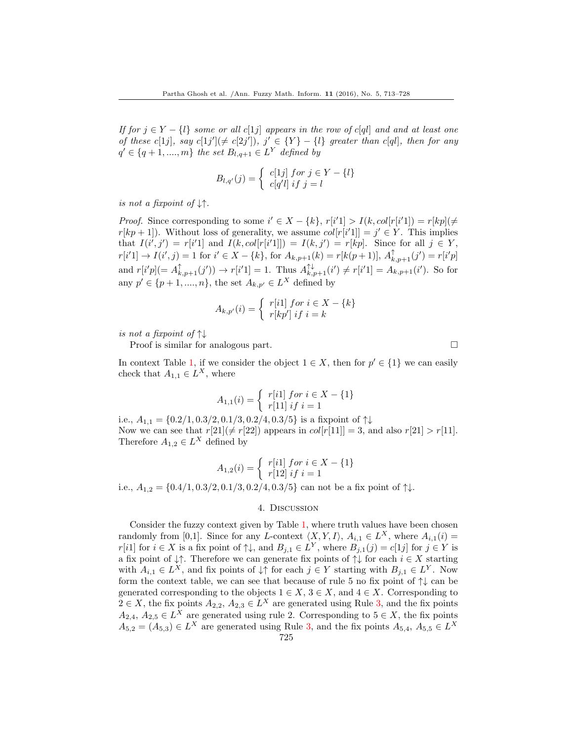If for  $j \in Y - \{l\}$  some or all  $c[1j]$  appears in the row of  $c[ql]$  and and at least one of these c[1j], say c[1j']( $\neq$  c[2j']), j'  $\in$  {Y} - {l} greater than c[ql], then for any  $q' \in \{q+1, ..., m\}$  the set  $B_{l,q+1} \in L^Y$  defined by

$$
B_{l,q'}(j) = \begin{cases} c[1j] \ for \ j \in Y - \{l\} \\ c[q'l] \ if \ j = l \end{cases}
$$

is not a fixpoint of  $\downarrow\uparrow$ .

*Proof.* Since corresponding to some  $i' \in X - \{k\}$ ,  $r[i'1] > I(k, col[r[i'1]) = r[kp](\neq)$  $r[kp + 1]$ ). Without loss of generality, we assume  $col[r[i'1]] = j' \in Y$ . This implies that  $I(i',j') = r[i'1]$  and  $I(k, col[r[i'1]]) = I(k,j') = r[kp]$ . Since for all  $j \in Y$ ,  $r[i'1] \rightarrow I(i',j) = 1$  for  $i' \in X - \{k\}$ , for  $A_{k,p+1}(k) = r[k(p+1)], A_{k,p+1}^{\uparrow}(j') = r[i'p]$ and  $r[i'p] (= A_{k,p+1}^{\uparrow}(j')) \rightarrow r[i'1] = 1$ . Thus  $A_{k,p+1}^{\uparrow\downarrow}(i') \neq r[i'1] = A_{k,p+1}(i')$ . So for any  $p' \in \{p+1, ..., n\}$ , the set  $A_{k,p'} \in L^X$  defined by

$$
A_{k,p'}(i) = \begin{cases} r[i1] \text{ for } i \in X - \{k\} \\ r[kp'] \text{ if } i = k \end{cases}
$$

is not a fixpoint of  $\uparrow\downarrow$ 

Proof is similar for analogous part.

In context Table 1, if we consider the object  $1 \in X$ , then for  $p' \in \{1\}$  we can easily check that  $A_{1,1} \in L^X$ , where

$$
A_{1,1}(i) = \begin{cases} r[i1] \text{ for } i \in X - \{1\} \\ r[11] \text{ if } i = 1 \end{cases}
$$

i.e.,  $A_{1,1} = \{0.2/1, 0.3/2, 0.1/3, 0.2/4, 0.3/5\}$  is a fixpoint of  $\uparrow\downarrow$ Now we can see that  $r[21](\neq r[22])$  appears in  $col[r[11]] = 3$ , and also  $r[21] > r[11]$ . Therefore  $A_{1,2} \in L^X$  defined by

$$
A_{1,2}(i) = \begin{cases} r[i1] \text{ for } i \in X - \{1\} \\ r[12] \text{ if } i = 1 \end{cases}
$$

i.e.,  $A_{1,2} = \{0.4/1, 0.3/2, 0.1/3, 0.2/4, 0.3/5\}$  can not be a fix point of  $\uparrow\downarrow$ .

#### 4. Discussion

Consider the fuzzy context given by Table 1, where truth values have been chosen randomly from [0,1]. Since for any L-context  $\langle X, Y, I \rangle$ ,  $A_{i,1} \in L^X$ , where  $A_{i,1}(i)$  =  $r[i1]$  for  $i \in X$  is a fix point of  $\uparrow \downarrow$ , and  $B_{j,1} \in L^Y$ , where  $B_{j,1}(j) = c[1j]$  for  $j \in Y$  is a fix point of  $\downarrow \uparrow$ . Therefore we can generate fix points of  $\uparrow \downarrow$  for each  $i \in X$  starting with  $A_{i,1} \in L^X$ , and fix points of  $\downarrow \uparrow$  for each  $j \in Y$  starting with  $B_{j,1} \in L^Y$ . Now form the context table, we can see that because of rule 5 no fix point of ↑↓ can be generated corresponding to the objects  $1 \in X$ ,  $3 \in X$ , and  $4 \in X$ . Corresponding to  $2 \in X$ , the fix points  $A_{2,2}$ ,  $A_{2,3} \in L^X$  are generated using Rule 3, and the fix points  $A_{2,4}, A_{2,5} \in L^{X}$  are generated using rule 2. Corresponding to  $5 \in X$ , the fix points  $A_{5,2} = (A_{5,3}) \in L^X$  are generated using Rule 3, and the fix points  $A_{5,4}$ ,  $A_{5,5} \in L^X$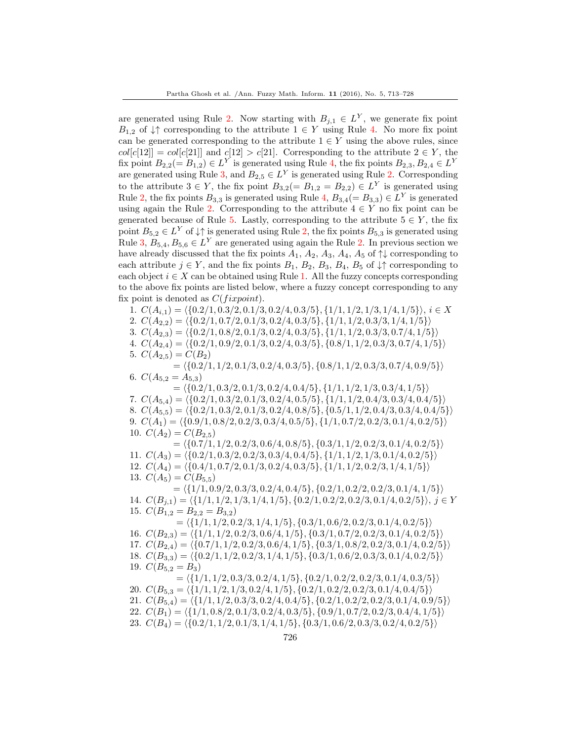are generated using Rule 2. Now starting with  $B_{j,1} \in L^Y$ , we generate fix point  $B_{1,2}$  of  $\downarrow \uparrow$  corresponding to the attribute  $1 \in Y$  using Rule 4. No more fix point can be generated corresponding to the attribute  $1 \in Y$  using the above rules, since  $col[c[12]] = col[c[21]]$  and  $c[12] > c[21]$ . Corresponding to the attribute  $2 \in Y$ , the fix point  $B_{2,2} (= B_{1,2}) \in L^Y$  is generated using Rule 4, the fix points  $B_{2,3}, B_{2,4} \in L^Y$ are generated using Rule 3, and  $B_{2,5} \in L^Y$  is generated using Rule 2. Corresponding to the attribute  $3 \in Y$ , the fix point  $B_{3,2} (= B_{1,2} = B_{2,2}) \in L^Y$  is generated using Rule 2, the fix points  $B_{3,3}$  is generated using Rule 4,  $B_{3,4}(=B_{3,3}) \in L^Y$  is generated using again the Rule 2. Corresponding to the attribute  $4 \in Y$  no fix point can be generated because of Rule 5. Lastly, corresponding to the attribute  $5 \in Y$ , the fix point  $B_{5,2} \in L^Y$  of  $\downarrow \uparrow$  is generated using Rule 2, the fix points  $B_{5,3}$  is generated using Rule 3,  $B_{5,4}, B_{5,6} \in L^Y$  are generated using again the Rule 2. In previous section we have already discussed that the fix points  $A_1$ ,  $A_2$ ,  $A_3$ ,  $A_4$ ,  $A_5$  of  $\uparrow\downarrow$  corresponding to each attribute  $j \in Y$ , and the fix points  $B_1$ ,  $B_2$ ,  $B_3$ ,  $B_4$ ,  $B_5$  of  $\downarrow \uparrow$  corresponding to each object  $i \in X$  can be obtained using Rule 1. All the fuzzy concepts corresponding to the above fix points are listed below, where a fuzzy concept corresponding to any fix point is denoted as  $C(fixpoint)$ .

1.  $C(A_{i,1}) = \langle \{0.2/1, 0.3/2, 0.1/3, 0.2/4, 0.3/5\}, \{1/1, 1/2, 1/3, 1/4, 1/5\}\rangle, i \in X$ 

2.  $C(A_{2,2}) = \langle \{0.2/1, 0.7/2, 0.1/3, 0.2/4, 0.3/5\}, \{1/1, 1/2, 0.3/3, 1/4, 1/5\}\rangle$ 

3.  $C(A_{2,3}) = \langle \{0.2/1, 0.8/2, 0.1/3, 0.2/4, 0.3/5\}, \{1/1, 1/2, 0.3/3, 0.7/4, 1/5\}\rangle$ 

4.  $C(A_{2,4}) = \langle \{0.2/1, 0.9/2, 0.1/3, 0.2/4, 0.3/5\}, \{0.8/1, 1/2, 0.3/3, 0.7/4, 1/5\}\rangle$ 5.  $C(A_{2,5}) = C(B_2)$ 

 $= \langle \{0.2/1, 1/2, 0.1/3, 0.2/4, 0.3/5\}, \{0.8/1, 1/2, 0.3/3, 0.7/4, 0.9/5\}\rangle$ 6.  $C(A_{5,2} = A_{5,3})$ 

 $= \langle \{0.2/1, 0.3/2, 0.1/3, 0.2/4, 0.4/5\}, \{1/1, 1/2, 1/3, 0.3/4, 1/5\}\rangle$ 7.  $C(A_{5,4}) = \langle \{0.2/1, 0.3/2, 0.1/3, 0.2/4, 0.5/5\}, \{1/1, 1/2, 0.4/3, 0.3/4, 0.4/5\}\rangle$ 8.  $C(A_{5,5}) = \langle \{0.2/1, 0.3/2, 0.1/3, 0.2/4, 0.8/5\}, \{0.5/1, 1/2, 0.4/3, 0.3/4, 0.4/5\}\rangle$ 9.  $C(A_1) = \langle \{0.9/1, 0.8/2, 0.2/3, 0.3/4, 0.5/5\}, \{1/1, 0.7/2, 0.2/3, 0.1/4, 0.2/5\}\rangle$ 10.  $C(A_2) = C(B_{2,5})$ 

 $= \langle \{0.7/1, 1/2, 0.2/3, 0.6/4, 0.8/5\}, \{0.3/1, 1/2, 0.2/3, 0.1/4, 0.2/5\}\rangle$ 11.  $C(A_3) = \langle \{0.2/1, 0.3/2, 0.2/3, 0.3/4, 0.4/5\}, \{1/1, 1/2, 1/3, 0.1/4, 0.2/5\}\rangle$ 12.  $C(A_4) = \langle \{0.4/1, 0.7/2, 0.1/3, 0.2/4, 0.3/5\}, \{1/1, 1/2, 0.2/3, 1/4, 1/5\}\rangle$ 13.  $C(A_5) = C(B_{5,5})$ 

 $= \langle \{1/1, 0.9/2, 0.3/3, 0.2/4, 0.4/5\}, \{0.2/1, 0.2/2, 0.2/3, 0.1/4, 1/5\}\rangle$ 14.  $C(B_{j,1}) = \langle \{1/1, 1/2, 1/3, 1/4, 1/5\}, \{0.2/1, 0.2/2, 0.2/3, 0.1/4, 0.2/5\}\rangle, j \in Y$ 15.  $C(B_{1,2} = B_{2,2} = B_{3,2})$ 

 $= \langle \{1/1, 1/2, 0.2/3, 1/4, 1/5\}, \{0.3/1, 0.6/2, 0.2/3, 0.1/4, 0.2/5\}\rangle$ 16.  $C(B_{2,3}) = \langle \{1/1, 1/2, 0.2/3, 0.6/4, 1/5\}, \{0.3/1, 0.7/2, 0.2/3, 0.1/4, 0.2/5\}\rangle$ 17.  $C(B_{2,4}) = \langle \{0.7/1, 1/2, 0.2/3, 0.6/4, 1/5\}, \{0.3/1, 0.8/2, 0.2/3, 0.1/4, 0.2/5\} \rangle$ 18.  $C(B_{3,3}) = \langle \{0.2/1, 1/2, 0.2/3, 1/4, 1/5\}, \{0.3/1, 0.6/2, 0.3/3, 0.1/4, 0.2/5\} \rangle$ 19.  $C(B_{5,2} = B_3)$ 

 $= \langle \{1/1, 1/2, 0.3/3, 0.2/4, 1/5\}, \{0.2/1, 0.2/2, 0.2/3, 0.1/4, 0.3/5\}\rangle$ 20.  $C(B_{5,3} = \{\{1/1, 1/2, 1/3, 0.2/4, 1/5\}, \{0.2/1, 0.2/2, 0.2/3, 0.1/4, 0.4/5\}\}\$ 21.  $C(B_{5,4}) = \langle \{1/1, 1/2, 0.3/3, 0.2/4, 0.4/5\}, \{0.2/1, 0.2/2, 0.2/3, 0.1/4, 0.9/5\}\rangle$ 22.  $C(B_1) = \langle \{1/1, 0.8/2, 0.1/3, 0.2/4, 0.3/5\}, \{0.9/1, 0.7/2, 0.2/3, 0.4/4, 1/5\}\rangle$ 23.  $C(B_4) = \langle \{0.2/1, 1/2, 0.1/3, 1/4, 1/5\}, \{0.3/1, 0.6/2, 0.3/3, 0.2/4, 0.2/5\} \rangle$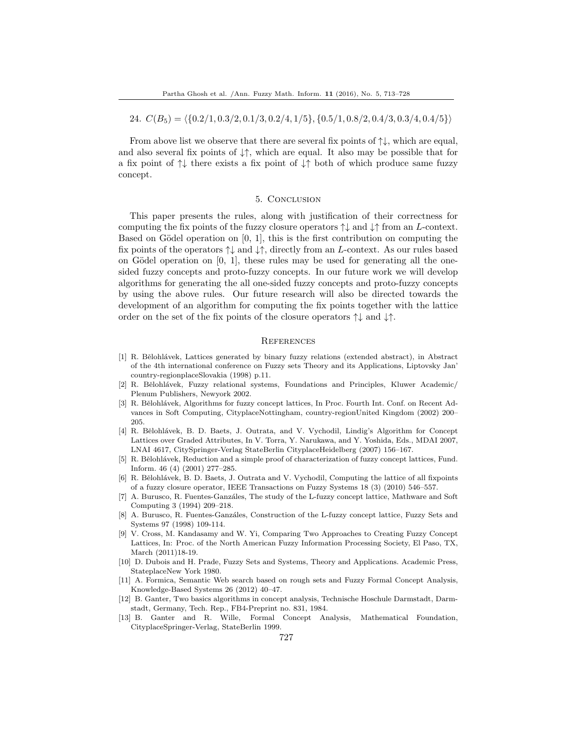24.  $C(B_5) = \langle \{0.2/1, 0.3/2, 0.1/3, 0.2/4, 1/5\}, \{0.5/1, 0.8/2, 0.4/3, 0.3/4, 0.4/5\}\rangle$ 

From above list we observe that there are several fix points of  $\uparrow\downarrow$ , which are equal, and also several fix points of  $\downarrow \uparrow$ , which are equal. It also may be possible that for a fix point of  $\uparrow\downarrow$  there exists a fix point of  $\downarrow\uparrow$  both of which produce same fuzzy concept.

### 5. Conclusion

This paper presents the rules, along with justification of their correctness for computing the fix points of the fuzzy closure operators  $\uparrow \downarrow$  and  $\downarrow \uparrow$  from an L-context. Based on Gödel operation on  $[0, 1]$ , this is the first contribution on computing the fix points of the operators  $\uparrow\downarrow$  and  $\downarrow\uparrow$ , directly from an L-context. As our rules based on Gödel operation on  $[0, 1]$ , these rules may be used for generating all the onesided fuzzy concepts and proto-fuzzy concepts. In our future work we will develop algorithms for generating the all one-sided fuzzy concepts and proto-fuzzy concepts by using the above rules. Our future research will also be directed towards the development of an algorithm for computing the fix points together with the lattice order on the set of the fix points of the closure operators ↑↓ and ↓↑.

#### **REFERENCES**

- <span id="page-14-4"></span>[1] R. Bělohlávek, Lattices generated by binary fuzzy relations (extended abstract), in Abstract of the 4th international conference on Fuzzy sets Theory and its Applications, Liptovsky Jan' country-regionplaceSlovakia (1998) p.11.
- <span id="page-14-3"></span>[2] R. Bělohlávek, Fuzzy relational systems, Foundations and Principles, Kluwer Academic/ Plenum Publishers, Newyork 2002.
- <span id="page-14-5"></span>[3] R. Bělohlávek, Algorithms for fuzzy concept lattices, In Proc. Fourth Int. Conf. on Recent Advances in Soft Computing, CityplaceNottingham, country-regionUnited Kingdom (2002) 200– 205.
- <span id="page-14-6"></span>[4] R. Bělohlávek, B. D. Baets, J. Outrata, and V. Vychodil, Lindig's Algorithm for Concept Lattices over Graded Attributes, In V. Torra, Y. Narukawa, and Y. Yoshida, Eds., MDAI 2007, LNAI 4617, CitySpringer-Verlag StateBerlin CityplaceHeidelberg (2007) 156–167.
- <span id="page-14-7"></span>R. Bělohlávek, Reduction and a simple proof of characterization of fuzzy concept lattices, Fund. Inform. 46 (4) (2001) 277–285.
- <span id="page-14-9"></span>[6] R. Bělohlávek, B. D. Baets, J. Outrata and V. Vychodil, Computing the lattice of all fixpoints of a fuzzy closure operator, IEEE Transactions on Fuzzy Systems 18 (3) (2010) 546–557.
- <span id="page-14-1"></span>[7] A. Burusco, R. Fuentes-Ganzáles, The study of the L-fuzzy concept lattice, Mathware and Soft Computing 3 (1994) 209–218.
- <span id="page-14-2"></span>[8] A. Burusco, R. Fuentes-Ganzáles, Construction of the L-fuzzy concept lattice, Fuzzy Sets and Systems 97 (1998) 109-114.
- <span id="page-14-10"></span>[9] V. Cross, M. Kandasamy and W. Yi, Comparing Two Approaches to Creating Fuzzy Concept Lattices, In: Proc. of the North American Fuzzy Information Processing Society, El Paso, TX, March (2011)18-19.
- <span id="page-14-12"></span>[10] D. Dubois and H. Prade, Fuzzy Sets and Systems, Theory and Applications. Academic Press, StateplaceNew York 1980.
- <span id="page-14-11"></span>[11] A. Formica, Semantic Web search based on rough sets and Fuzzy Formal Concept Analysis, Knowledge-Based Systems 26 (2012) 40–47.
- <span id="page-14-8"></span>[12] B. Ganter, Two basics algorithms in concept analysis, Technische Hoschule Darmstadt, Darmstadt, Germany, Tech. Rep., FB4-Preprint no. 831, 1984.
- <span id="page-14-0"></span>[13] B. Ganter and R. Wille, Formal Concept Analysis, Mathematical Foundation, CityplaceSpringer-Verlag, StateBerlin 1999.